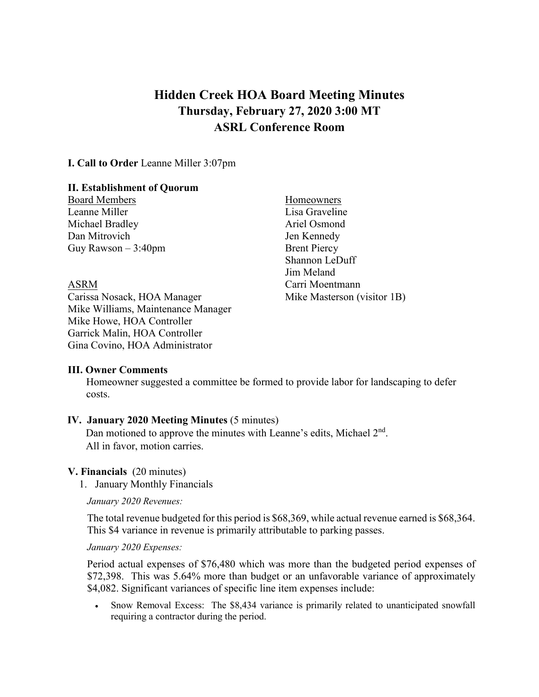# **Hidden Creek HOA Board Meeting Minutes Thursday, February 27, 2020 3:00 MT ASRL Conference Room**

**I. Call to Order** Leanne Miller 3:07pm

#### **II. Establishment of Quorum**

Board Members Homeowners Leanne Miller Lisa Graveline Michael Bradley **Ariel Osmond** Dan Mitrovich Jen Kennedy Guy Rawson  $-3:40$ pm Brent Piercy

Carissa Nosack, HOA Manager Mike Masterson (visitor 1B) Mike Williams, Maintenance Manager Mike Howe, HOA Controller Garrick Malin, HOA Controller Gina Covino, HOA Administrator

Shannon LeDuff Jim Meland ASRM Carri Moentmann

## **III. Owner Comments**

Homeowner suggested a committee be formed to provide labor for landscaping to defer costs.

## **IV. January 2020 Meeting Minutes** (5 minutes)

Dan motioned to approve the minutes with Leanne's edits, Michael  $2<sup>nd</sup>$ . All in favor, motion carries.

#### **V. Financials** (20 minutes)

1. January Monthly Financials

*January 2020 Revenues:*

The total revenue budgeted for this period is \$68,369, while actual revenue earned is \$68,364. This \$4 variance in revenue is primarily attributable to parking passes.

*January 2020 Expenses:*

Period actual expenses of \$76,480 which was more than the budgeted period expenses of \$72,398. This was 5.64% more than budget or an unfavorable variance of approximately \$4,082. Significant variances of specific line item expenses include:

• Snow Removal Excess: The \$8,434 variance is primarily related to unanticipated snowfall requiring a contractor during the period.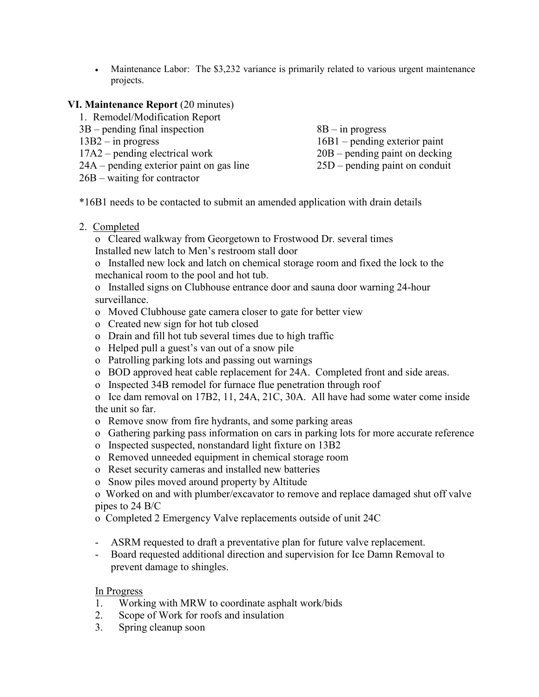• Maintenance Labor: The \$3,232 variance is primarily related to various urgent maintenance projects.

### **VI. Maintenance Report** (20 minutes)

| 1. Remodel/Modification Report           |                                  |
|------------------------------------------|----------------------------------|
| $3B$ – pending final inspection          | $8B - in progress$               |
| $13B2 - in progress$                     | $16B1$ – pending exterior paint  |
| $17A2$ – pending electrical work         | $20B$ – pending paint on decking |
| 24A – pending exterior paint on gas line | $25D$ – pending paint on conduit |
| $26B - waiting for contractor$           |                                  |

\*16B1 needs to be contacted to submit an amended application with drain details

### 2. Completed

o Cleared walkway from Georgetown to Frostwood Dr. several times Installed new latch to Men's restroom stall door

o Installed new lock and latch on chemical storage room and fixed the lock to the mechanical room to the pool and hot tub.

o Installed signs on Clubhouse entrance door and sauna door warning 24-hour surveillance.

- o Moved Clubhouse gate camera closer to gate for better view
- o Created new sign for hot tub closed
- o Drain and fill hot tub several times due to high traffic
- o Helped pull a guest's van out of a snow pile
- o Patrolling parking lots and passing out warnings
- o BOD approved heat cable replacement for 24A. Completed front and side areas.
- o Inspected 34B remodel for furnace flue penetration through roof

o Ice dam removal on 17B2, 11, 24A, 21C, 30A. All have had some water come inside the unit so far.

- o Remove snow from fire hydrants, and some parking areas
- o Gathering parking pass information on cars in parking lots for more accurate reference
- o Inspected suspected, nonstandard light fixture on 13B2
- o Removed unneeded equipment in chemical storage room
- o Reset security cameras and installed new batteries
- o Snow piles moved around property by Altitude

o Worked on and with plumber/excavator to remove and replace damaged shut off valve pipes to 24 B/C

o Completed 2 Emergency Valve replacements outside of unit 24C

- ASRM requested to draft a preventative plan for future valve replacement.
- Board requested additional direction and supervision for Ice Damn Removal to prevent damage to shingles.

#### In Progress

- 1. Working with MRW to coordinate asphalt work/bids
- 2. Scope of Work for roofs and insulation
- 3. Spring cleanup soon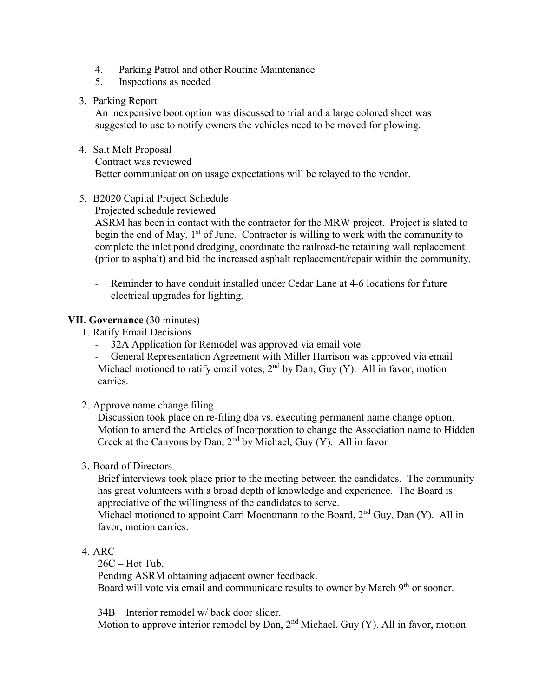- 4. Parking Patrol and other Routine Maintenance
- 5. Inspections as needed

#### 3. Parking Report

An inexpensive boot option was discussed to trial and a large colored sheet was suggested to use to notify owners the vehicles need to be moved for plowing.

## 4. Salt Melt Proposal

Contract was reviewed

Better communication on usage expectations will be relayed to the vendor.

## 5. B2020 Capital Project Schedule

Projected schedule reviewed

ASRM has been in contact with the contractor for the MRW project. Project is slated to begin the end of May,  $1<sup>st</sup>$  of June. Contractor is willing to work with the community to complete the inlet pond dredging, coordinate the railroad-tie retaining wall replacement (prior to asphalt) and bid the increased asphalt replacement/repair within the community.

- Reminder to have conduit installed under Cedar Lane at 4-6 locations for future electrical upgrades for lighting.

## **VII. Governance** (30 minutes)

1. Ratify Email Decisions

- 32A Application for Remodel was approved via email vote

- General Representation Agreement with Miller Harrison was approved via email Michael motioned to ratify email votes,  $2<sup>nd</sup>$  by Dan, Guy (Y). All in favor, motion carries.

2. Approve name change filing

Discussion took place on re-filing dba vs. executing permanent name change option. Motion to amend the Articles of Incorporation to change the Association name to Hidden Creek at the Canyons by Dan,  $2<sup>nd</sup>$  by Michael, Guy (Y). All in favor

3. Board of Directors

Brief interviews took place prior to the meeting between the candidates. The community has great volunteers with a broad depth of knowledge and experience. The Board is appreciative of the willingness of the candidates to serve.

Michael motioned to appoint Carri Moentmann to the Board,  $2<sup>nd</sup> Guy$ , Dan (Y). All in favor, motion carries.

## 4. ARC

26C – Hot Tub. Pending ASRM obtaining adjacent owner feedback. Board will vote via email and communicate results to owner by March 9<sup>th</sup> or sooner.

34B – Interior remodel w/ back door slider. Motion to approve interior remodel by Dan,  $2<sup>nd</sup>$  Michael, Guy (Y). All in favor, motion